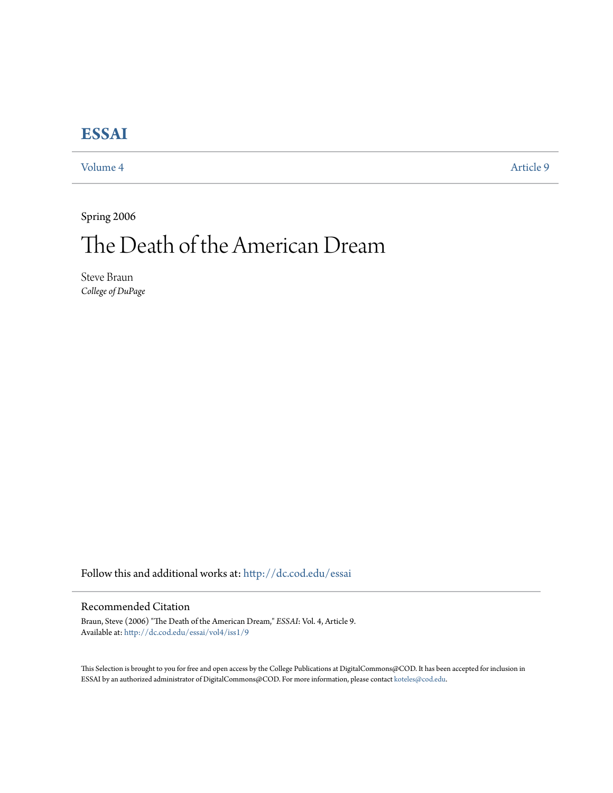# **[ESSAI](http://dc.cod.edu/essai?utm_source=dc.cod.edu%2Fessai%2Fvol4%2Fiss1%2F9&utm_medium=PDF&utm_campaign=PDFCoverPages)**

[Volume 4](http://dc.cod.edu/essai/vol4?utm_source=dc.cod.edu%2Fessai%2Fvol4%2Fiss1%2F9&utm_medium=PDF&utm_campaign=PDFCoverPages) [Article 9](http://dc.cod.edu/essai/vol4/iss1/9?utm_source=dc.cod.edu%2Fessai%2Fvol4%2Fiss1%2F9&utm_medium=PDF&utm_campaign=PDFCoverPages)

Spring 2006

# The Death of the American Dream

Steve Braun *College of DuPage*

Follow this and additional works at: [http://dc.cod.edu/essai](http://dc.cod.edu/essai?utm_source=dc.cod.edu%2Fessai%2Fvol4%2Fiss1%2F9&utm_medium=PDF&utm_campaign=PDFCoverPages)

### Recommended Citation

Braun, Steve (2006) "The Death of the American Dream," *ESSAI*: Vol. 4, Article 9. Available at: [http://dc.cod.edu/essai/vol4/iss1/9](http://dc.cod.edu/essai/vol4/iss1/9?utm_source=dc.cod.edu%2Fessai%2Fvol4%2Fiss1%2F9&utm_medium=PDF&utm_campaign=PDFCoverPages)

This Selection is brought to you for free and open access by the College Publications at DigitalCommons@COD. It has been accepted for inclusion in ESSAI by an authorized administrator of DigitalCommons@COD. For more information, please contact [koteles@cod.edu](mailto:koteles@cod.edu).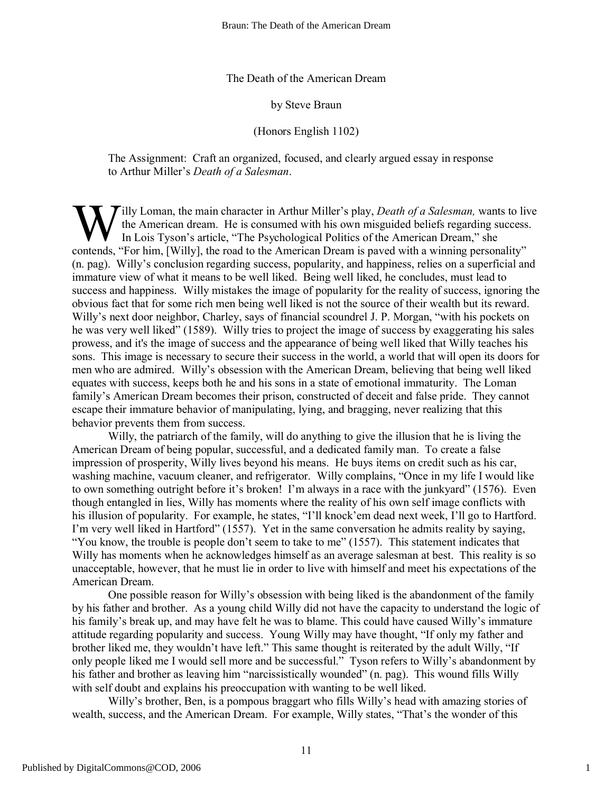#### The Death of the American Dream

#### by Steve Braun

## (Honors English 1102)

The Assignment: Craft an organized, focused, and clearly argued essay in response to Arthur Miller's *Death of a Salesman*.

**T**illy Loman, the main character in Arthur Miller's play, *Death of a Salesman*, wants to live the American dream. He is consumed with his own misguided beliefs regarding success. In Lois Tyson's article, "The Psychological Politics of the American Dream," she W illy Loman, the main character in Arthur Miller's play, *Death of a Salesman*, wants to li<br>the American dream. He is consumed with his own misguided beliefs regarding success<br>In Lois Tyson's article, "The Psychological P (n. pag). Willy's conclusion regarding success, popularity, and happiness, relies on a superficial and immature view of what it means to be well liked. Being well liked, he concludes, must lead to success and happiness. Willy mistakes the image of popularity for the reality of success, ignoring the obvious fact that for some rich men being well liked is not the source of their wealth but its reward. Willy's next door neighbor, Charley, says of financial scoundrel J. P. Morgan, "with his pockets on he was very well liked" (1589). Willy tries to project the image of success by exaggerating his sales prowess, and it's the image of success and the appearance of being well liked that Willy teaches his sons. This image is necessary to secure their success in the world, a world that will open its doors for men who are admired. Willy's obsession with the American Dream, believing that being well liked equates with success, keeps both he and his sons in a state of emotional immaturity. The Loman family's American Dream becomes their prison, constructed of deceit and false pride. They cannot escape their immature behavior of manipulating, lying, and bragging, never realizing that this behavior prevents them from success.

Willy, the patriarch of the family, will do anything to give the illusion that he is living the American Dream of being popular, successful, and a dedicated family man. To create a false impression of prosperity, Willy lives beyond his means. He buys items on credit such as his car, washing machine, vacuum cleaner, and refrigerator. Willy complains, "Once in my life I would like to own something outright before it's broken! I'm always in a race with the junkyard" (1576). Even though entangled in lies, Willy has moments where the reality of his own self image conflicts with his illusion of popularity. For example, he states, "I'll knock'em dead next week, I'll go to Hartford. I'm very well liked in Hartford" (1557). Yet in the same conversation he admits reality by saying, "You know, the trouble is people don't seem to take to me" (1557). This statement indicates that Willy has moments when he acknowledges himself as an average salesman at best. This reality is so unacceptable, however, that he must lie in order to live with himself and meet his expectations of the American Dream.

One possible reason for Willy's obsession with being liked is the abandonment of the family by his father and brother. As a young child Willy did not have the capacity to understand the logic of his family's break up, and may have felt he was to blame. This could have caused Willy's immature attitude regarding popularity and success. Young Willy may have thought, "If only my father and brother liked me, they wouldn't have left." This same thought is reiterated by the adult Willy, "If only people liked me I would sell more and be successful." Tyson refers to Willy's abandonment by his father and brother as leaving him "narcissistically wounded" (n. pag). This wound fills Willy with self doubt and explains his preoccupation with wanting to be well liked.

Willy's brother, Ben, is a pompous braggart who fills Willy's head with amazing stories of wealth, success, and the American Dream. For example, Willy states, "That's the wonder of this

1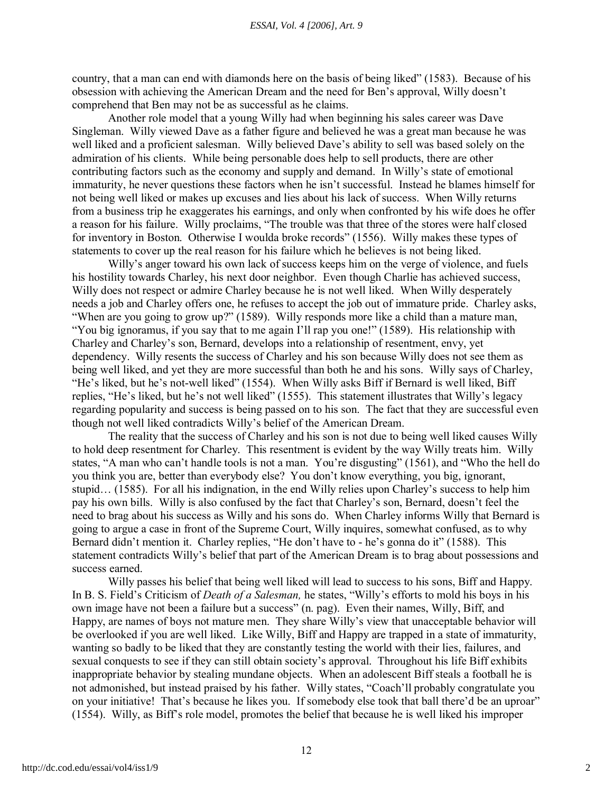country, that a man can end with diamonds here on the basis of being liked" (1583). Because of his obsession with achieving the American Dream and the need for Ben's approval, Willy doesn't comprehend that Ben may not be as successful as he claims.

Another role model that a young Willy had when beginning his sales career was Dave Singleman. Willy viewed Dave as a father figure and believed he was a great man because he was well liked and a proficient salesman. Willy believed Dave's ability to sell was based solely on the admiration of his clients. While being personable does help to sell products, there are other contributing factors such as the economy and supply and demand. In Willy's state of emotional immaturity, he never questions these factors when he isn't successful. Instead he blames himself for not being well liked or makes up excuses and lies about his lack of success. When Willy returns from a business trip he exaggerates his earnings, and only when confronted by his wife does he offer a reason for his failure. Willy proclaims, "The trouble was that three of the stores were half closed for inventory in Boston. Otherwise I woulda broke records" (1556). Willy makes these types of statements to cover up the real reason for his failure which he believes is not being liked.

Willy's anger toward his own lack of success keeps him on the verge of violence, and fuels his hostility towards Charley, his next door neighbor. Even though Charlie has achieved success, Willy does not respect or admire Charley because he is not well liked. When Willy desperately needs a job and Charley offers one, he refuses to accept the job out of immature pride. Charley asks, "When are you going to grow up?" (1589). Willy responds more like a child than a mature man, "You big ignoramus, if you say that to me again I'll rap you one!" (1589). His relationship with Charley and Charley's son, Bernard, develops into a relationship of resentment, envy, yet dependency. Willy resents the success of Charley and his son because Willy does not see them as being well liked, and yet they are more successful than both he and his sons. Willy says of Charley, "He's liked, but he's not-well liked" (1554). When Willy asks Biff if Bernard is well liked, Biff replies, "He's liked, but he's not well liked" (1555). This statement illustrates that Willy's legacy regarding popularity and success is being passed on to his son. The fact that they are successful even though not well liked contradicts Willy's belief of the American Dream.

The reality that the success of Charley and his son is not due to being well liked causes Willy to hold deep resentment for Charley. This resentment is evident by the way Willy treats him. Willy states, "A man who can't handle tools is not a man. You're disgusting" (1561), and "Who the hell do you think you are, better than everybody else? You don't know everything, you big, ignorant, stupid… (1585). For all his indignation, in the end Willy relies upon Charley's success to help him pay his own bills. Willy is also confused by the fact that Charley's son, Bernard, doesn't feel the need to brag about his success as Willy and his sons do. When Charley informs Willy that Bernard is going to argue a case in front of the Supreme Court, Willy inquires, somewhat confused, as to why Bernard didn't mention it. Charley replies, "He don't have to - he's gonna do it" (1588). This statement contradicts Willy's belief that part of the American Dream is to brag about possessions and success earned.

Willy passes his belief that being well liked will lead to success to his sons, Biff and Happy. In B. S. Field's Criticism of *Death of a Salesman,* he states, "Willy's efforts to mold his boys in his own image have not been a failure but a success" (n. pag). Even their names, Willy, Biff, and Happy, are names of boys not mature men. They share Willy's view that unacceptable behavior will be overlooked if you are well liked. Like Willy, Biff and Happy are trapped in a state of immaturity, wanting so badly to be liked that they are constantly testing the world with their lies, failures, and sexual conquests to see if they can still obtain society's approval. Throughout his life Biff exhibits inappropriate behavior by stealing mundane objects. When an adolescent Biff steals a football he is not admonished, but instead praised by his father. Willy states, "Coach'll probably congratulate you on your initiative! That's because he likes you. If somebody else took that ball there'd be an uproar" (1554). Willy, as Biff's role model, promotes the belief that because he is well liked his improper